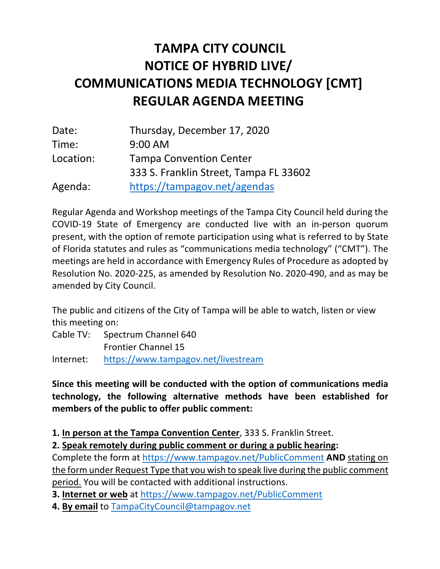## **NOTICE OF HYBRID LIVE/ TAMPA CITY COUNCIL COMMUNICATIONS MEDIA TECHNOLOGY [CMT] REGULAR AGENDA MEETING**

| Date:     | Thursday, December 17, 2020            |
|-----------|----------------------------------------|
| Time:     | 9:00 AM                                |
| Location: | <b>Tampa Convention Center</b>         |
|           | 333 S. Franklin Street, Tampa FL 33602 |
| Agenda:   | https://tampagov.net/agendas           |

 Regular Agenda and Workshop meetings of the Tampa City Council held during the COVID-19 State of Emergency are conducted live with an in-person quorum present, with the option of remote participation using what is referred to by State of Florida statutes and rules as "communications media technology" ("CMT"). The meetings are held in accordance with Emergency Rules of Procedure as adopted by Resolution No. 2020-225, as amended by Resolution No. 2020-490, and as may be amended by City Council.

 The public and citizens of the City of Tampa will be able to watch, listen or view this meeting on:

 Cable TV: Spectrum Channel 640 Frontier Channel 15

Internet: https://www.tampagov.net/livestream

 **Since this meeting will be conducted with the option of communications media technology, the following alternative methods have been established for members of the public to offer public comment:** 

**1. In person at the Tampa Convention Center**, 333 S. Franklin Street.

 **2. Speak remotely during public comment or during a public hearing:** 

 Complete the form at https://www.tampagov.net/PublicComment **AND** stating on the form under Request Type that you wish to speak live during the public comment period. You will be contacted with additional instructions.

**3. Internet or web** at https://www.tampagov.net/PublicComment

**4. By email** to TampaCityCouncil@tampagov.net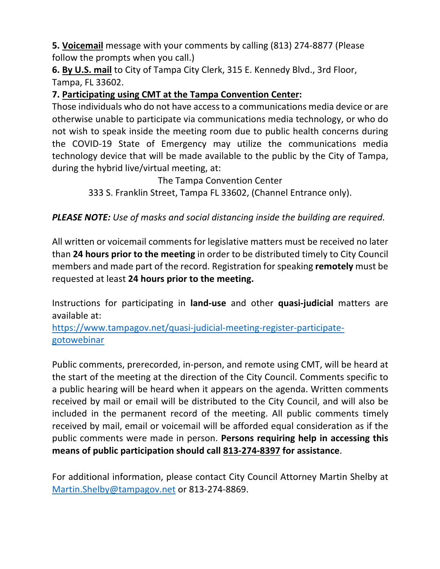**5. Voicemail** message with your comments by calling (813) 274-8877 (Please follow the prompts when you call.)

 **6. By U.S. mail** to City of Tampa City Clerk, 315 E. Kennedy Blvd., 3rd Floor, Tampa, FL 33602.

## **7. Participating using CMT at the Tampa Convention Center:**

 Those individuals who do not have access to a communications media device or are otherwise unable to participate via communications media technology, or who do not wish to speak inside the meeting room due to public health concerns during the COVID-19 State of Emergency may utilize the communications media technology device that will be made available to the public by the City of Tampa, during the hybrid live/virtual meeting, at:

The Tampa Convention Center

333 S. Franklin Street, Tampa FL 33602, (Channel Entrance only).

## *PLEASE NOTE: Use of masks and social distancing inside the building are required.*

 All written or voicemail comments for legislative matters must be received no later  than **24 hours prior to the meeting** in order to be distributed timely to City Council members and made part of the record. Registration for speaking **remotely** must be  requested at least **24 hours prior to the meeting.** 

 Instructions for participating in **land-use** and other **quasi-judicial** matters are available at:

https://www.tampagov.net/quasi-judicial-meeting-register-participategotowebinar

 Public comments, prerecorded, in-person, and remote using CMT, will be heard at the start of the meeting at the direction of the City Council. Comments specific to a public hearing will be heard when it appears on the agenda. Written comments received by mail or email will be distributed to the City Council, and will also be included in the permanent record of the meeting. All public comments timely received by mail, email or voicemail will be afforded equal consideration as if the public comments were made in person. **Persons requiring help in accessing this means of public participation should call 813-274-8397 for assistance**.

 For additional information, please contact City Council Attorney Martin Shelby at Martin.Shelby@tampagov.net or 813-274-8869.